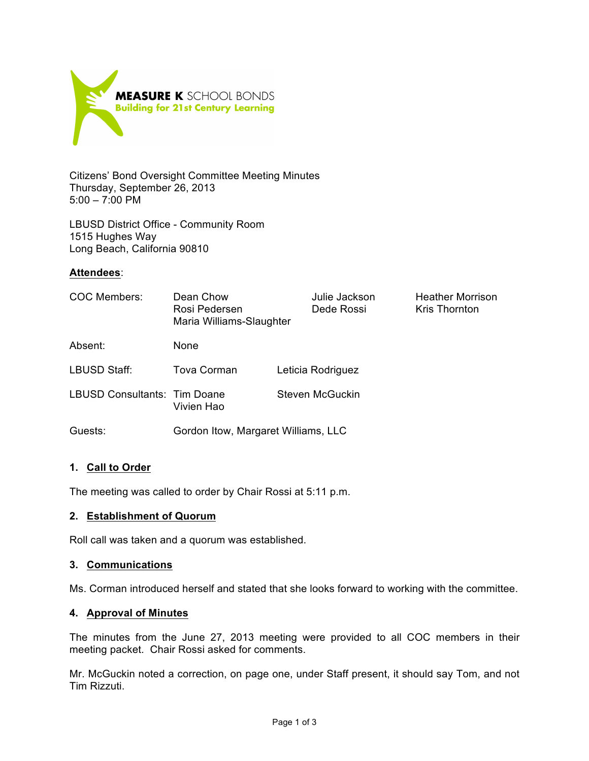

Citizens' Bond Oversight Committee Meeting Minutes Thursday, September 26, 2013 5:00 – 7:00 PM

LBUSD District Office - Community Room 1515 Hughes Way Long Beach, California 90810

# **Attendees**:

| COC Members:                        | Dean Chow<br>Rosi Pedersen<br>Maria Williams-Slaughter | Julie Jackson<br>Dede Rossi | <b>Heather Morrison</b><br><b>Kris Thornton</b> |
|-------------------------------------|--------------------------------------------------------|-----------------------------|-------------------------------------------------|
| Absent:                             | <b>None</b>                                            |                             |                                                 |
| LBUSD Staff:                        | <b>Tova Corman</b>                                     | Leticia Rodriguez           |                                                 |
| <b>LBUSD Consultants: Tim Doane</b> | Vivien Hao                                             | <b>Steven McGuckin</b>      |                                                 |
| Guests:                             | Gordon Itow, Margaret Williams, LLC                    |                             |                                                 |

# **1. Call to Order**

The meeting was called to order by Chair Rossi at 5:11 p.m.

### **2. Establishment of Quorum**

Roll call was taken and a quorum was established.

### **3. Communications**

Ms. Corman introduced herself and stated that she looks forward to working with the committee.

### **4. Approval of Minutes**

The minutes from the June 27, 2013 meeting were provided to all COC members in their meeting packet. Chair Rossi asked for comments.

Mr. McGuckin noted a correction, on page one, under Staff present, it should say Tom, and not Tim Rizzuti.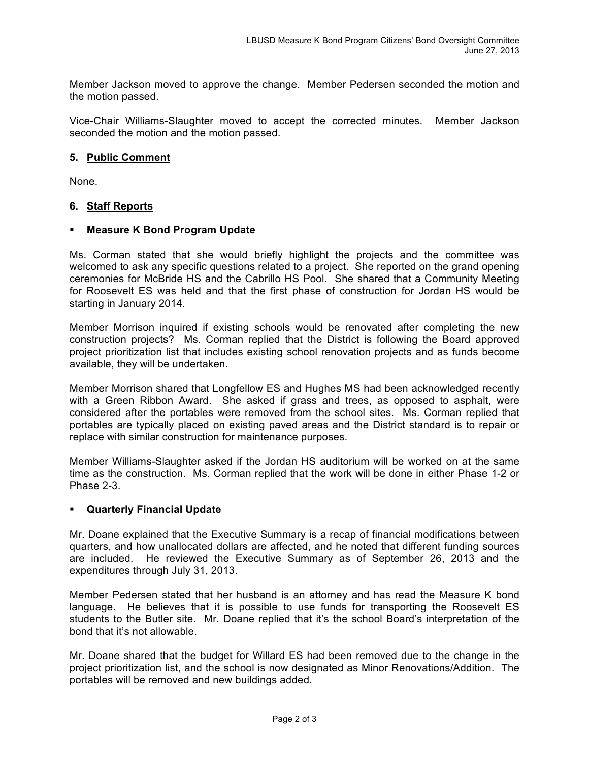Member Jackson moved to approve the change. Member Pedersen seconded the motion and the motion passed.

Vice-Chair Williams-Slaughter moved to accept the corrected minutes. Member Jackson seconded the motion and the motion passed.

### **5. Public Comment**

None.

### **6. Staff Reports**

### § **Measure K Bond Program Update**

Ms. Corman stated that she would briefly highlight the projects and the committee was welcomed to ask any specific questions related to a project. She reported on the grand opening ceremonies for McBride HS and the Cabrillo HS Pool. She shared that a Community Meeting for Roosevelt ES was held and that the first phase of construction for Jordan HS would be starting in January 2014.

Member Morrison inquired if existing schools would be renovated after completing the new construction projects? Ms. Corman replied that the District is following the Board approved project prioritization list that includes existing school renovation projects and as funds become available, they will be undertaken.

Member Morrison shared that Longfellow ES and Hughes MS had been acknowledged recently with a Green Ribbon Award. She asked if grass and trees, as opposed to asphalt, were considered after the portables were removed from the school sites. Ms. Corman replied that portables are typically placed on existing paved areas and the District standard is to repair or replace with similar construction for maintenance purposes.

Member Williams-Slaughter asked if the Jordan HS auditorium will be worked on at the same time as the construction. Ms. Corman replied that the work will be done in either Phase 1-2 or Phase 2-3.

#### § **Quarterly Financial Update**

Mr. Doane explained that the Executive Summary is a recap of financial modifications between quarters, and how unallocated dollars are affected, and he noted that different funding sources are included. He reviewed the Executive Summary as of September 26, 2013 and the expenditures through July 31, 2013.

Member Pedersen stated that her husband is an attorney and has read the Measure K bond language. He believes that it is possible to use funds for transporting the Roosevelt ES students to the Butler site. Mr. Doane replied that it's the school Board's interpretation of the bond that it's not allowable.

Mr. Doane shared that the budget for Willard ES had been removed due to the change in the project prioritization list, and the school is now designated as Minor Renovations/Addition. The portables will be removed and new buildings added.